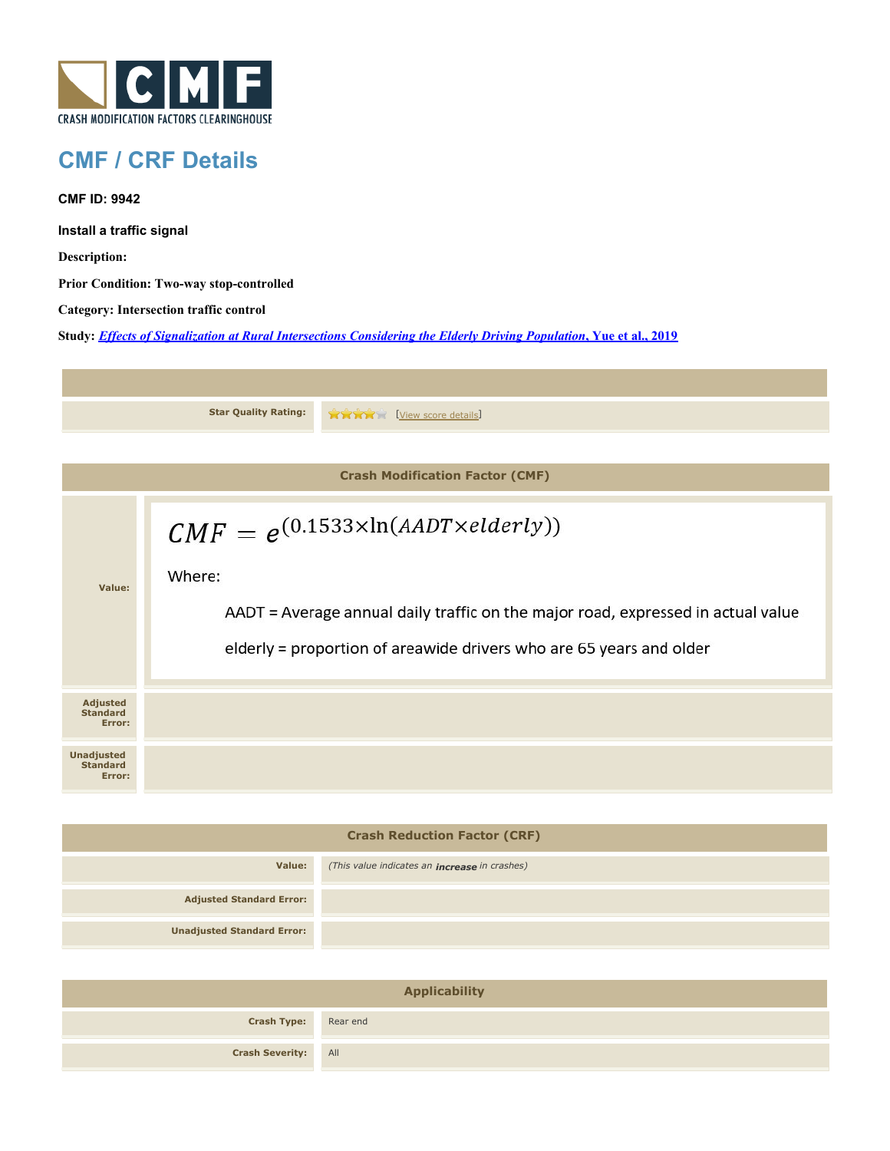

## **CMF / CRF Details**

**CMF ID: 9942**

**Install a traffic signal**

**Description:** 

**Prior Condition: Two-way stop-controlled**

**Category: Intersection traffic control**

**Study:** *[Effects of Signalization at Rural Intersections Considering the Elderly Driving Population](http://www.cmfclearinghouse.org/study_detail.cfm?stid=560)***[, Yue et al., 2019](http://www.cmfclearinghouse.org/study_detail.cfm?stid=560)**

|                                                | <b>Star Quality Rating:</b>                                                                                                                                                                                               | <b>TARY [View score details]</b> |  |  |
|------------------------------------------------|---------------------------------------------------------------------------------------------------------------------------------------------------------------------------------------------------------------------------|----------------------------------|--|--|
|                                                |                                                                                                                                                                                                                           |                                  |  |  |
| <b>Crash Modification Factor (CMF)</b>         |                                                                                                                                                                                                                           |                                  |  |  |
| Value:                                         | $CMF = e^{(0.1533 \times \ln(AADT \times elderly))}$<br>Where:<br>AADT = Average annual daily traffic on the major road, expressed in actual value<br>elderly = proportion of areawide drivers who are 65 years and older |                                  |  |  |
| <b>Adjusted</b><br><b>Standard</b><br>Error:   |                                                                                                                                                                                                                           |                                  |  |  |
| <b>Unadjusted</b><br><b>Standard</b><br>Error: |                                                                                                                                                                                                                           |                                  |  |  |

| <b>Crash Reduction Factor (CRF)</b> |                                                      |  |
|-------------------------------------|------------------------------------------------------|--|
| Value:                              | (This value indicates an <b>increase</b> in crashes) |  |
| <b>Adjusted Standard Error:</b>     |                                                      |  |
| <b>Unadjusted Standard Error:</b>   |                                                      |  |

| <b>Applicability</b>        |  |  |
|-----------------------------|--|--|
| <b>Crash Type:</b> Rear end |  |  |
| <b>Crash Severity:</b> All  |  |  |